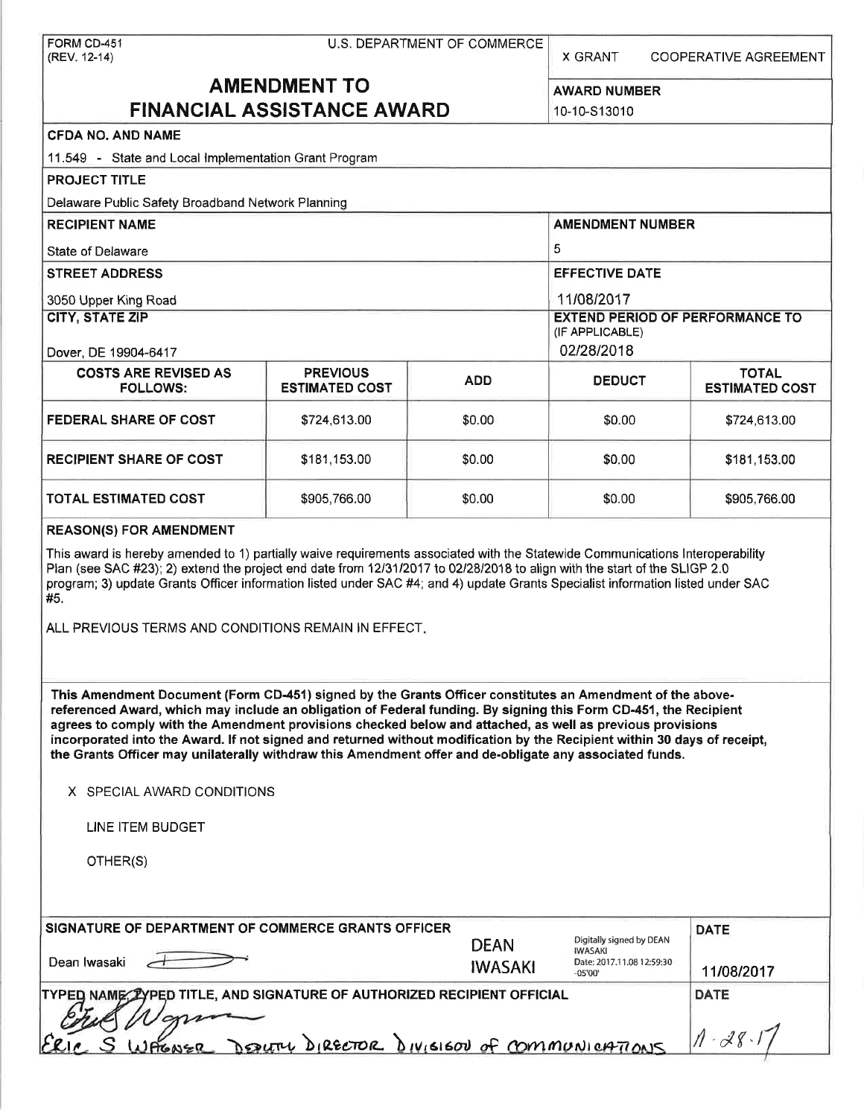| FORM CD-451<br>(REV. 12-14)                                                                                                                                                                                                                                                                                                                                                                                                                                                                                                                                                                                                                     | U.S. DEPARTMENT OF COMMERCE<br>X GRANT     |                               |                                                                                      | <b>COOPERATIVE AGREEMENT</b> |  |
|-------------------------------------------------------------------------------------------------------------------------------------------------------------------------------------------------------------------------------------------------------------------------------------------------------------------------------------------------------------------------------------------------------------------------------------------------------------------------------------------------------------------------------------------------------------------------------------------------------------------------------------------------|--------------------------------------------|-------------------------------|--------------------------------------------------------------------------------------|------------------------------|--|
| <b>AMENDMENT TO</b><br><b>FINANCIAL ASSISTANCE AWARD</b>                                                                                                                                                                                                                                                                                                                                                                                                                                                                                                                                                                                        |                                            |                               | <b>AWARD NUMBER</b>                                                                  |                              |  |
|                                                                                                                                                                                                                                                                                                                                                                                                                                                                                                                                                                                                                                                 |                                            |                               | 10-10-S13010                                                                         |                              |  |
| <b>CFDA NO. AND NAME</b>                                                                                                                                                                                                                                                                                                                                                                                                                                                                                                                                                                                                                        |                                            |                               |                                                                                      |                              |  |
| 11.549 - State and Local Implementation Grant Program                                                                                                                                                                                                                                                                                                                                                                                                                                                                                                                                                                                           |                                            |                               |                                                                                      |                              |  |
| <b>PROJECT TITLE</b>                                                                                                                                                                                                                                                                                                                                                                                                                                                                                                                                                                                                                            |                                            |                               |                                                                                      |                              |  |
| Delaware Public Safety Broadband Network Planning                                                                                                                                                                                                                                                                                                                                                                                                                                                                                                                                                                                               |                                            |                               |                                                                                      |                              |  |
| <b>RECIPIENT NAME</b>                                                                                                                                                                                                                                                                                                                                                                                                                                                                                                                                                                                                                           |                                            |                               | <b>AMENDMENT NUMBER</b>                                                              |                              |  |
| <b>State of Delaware</b>                                                                                                                                                                                                                                                                                                                                                                                                                                                                                                                                                                                                                        |                                            |                               | 5                                                                                    |                              |  |
| <b>STREET ADDRESS</b>                                                                                                                                                                                                                                                                                                                                                                                                                                                                                                                                                                                                                           |                                            |                               | <b>EFFECTIVE DATE</b>                                                                |                              |  |
| 3050 Upper King Road                                                                                                                                                                                                                                                                                                                                                                                                                                                                                                                                                                                                                            |                                            | 11/08/2017                    |                                                                                      |                              |  |
| <b>CITY, STATE ZIP</b>                                                                                                                                                                                                                                                                                                                                                                                                                                                                                                                                                                                                                          |                                            |                               | <b>EXTEND PERIOD OF PERFORMANCE TO</b>                                               |                              |  |
|                                                                                                                                                                                                                                                                                                                                                                                                                                                                                                                                                                                                                                                 |                                            |                               | (IF APPLICABLE)                                                                      |                              |  |
| Dover, DE 19904-6417<br><b>COSTS ARE REVISED AS</b>                                                                                                                                                                                                                                                                                                                                                                                                                                                                                                                                                                                             | <b>PREVIOUS</b>                            |                               | 02/28/2018                                                                           | <b>TOTAL</b>                 |  |
| <b>FOLLOWS:</b>                                                                                                                                                                                                                                                                                                                                                                                                                                                                                                                                                                                                                                 | <b>ESTIMATED COST</b>                      | <b>ADD</b>                    | <b>DEDUCT</b>                                                                        | <b>ESTIMATED COST</b>        |  |
| <b>FEDERAL SHARE OF COST</b>                                                                                                                                                                                                                                                                                                                                                                                                                                                                                                                                                                                                                    | \$724,613.00                               | \$0.00                        | \$0.00                                                                               | \$724,613.00                 |  |
| <b>RECIPIENT SHARE OF COST</b>                                                                                                                                                                                                                                                                                                                                                                                                                                                                                                                                                                                                                  | \$181,153.00                               | \$0.00                        | \$0.00                                                                               | \$181,153.00                 |  |
| <b>TOTAL ESTIMATED COST</b>                                                                                                                                                                                                                                                                                                                                                                                                                                                                                                                                                                                                                     | \$905,766.00                               | \$0.00                        | \$0.00                                                                               | \$905,766.00                 |  |
| program; 3) update Grants Officer information listed under SAC #4; and 4) update Grants Specialist information listed under SAC<br>#5.<br>ALL PREVIOUS TERMS AND CONDITIONS REMAIN IN EFFECT.                                                                                                                                                                                                                                                                                                                                                                                                                                                   |                                            |                               |                                                                                      |                              |  |
| This Amendment Document (Form CD-451) signed by the Grants Officer constitutes an Amendment of the above-<br>referenced Award, which may include an obligation of Federal funding. By signing this Form CD-451, the Recipient<br>agrees to comply with the Amendment provisions checked below and attached, as well as previous provisions<br>incorporated into the Award. If not signed and returned without modification by the Recipient within 30 days of receipt,<br>the Grants Officer may unilaterally withdraw this Amendment offer and de-obligate any associated funds.<br>X SPECIAL AWARD CONDITIONS<br>LINE ITEM BUDGET<br>OTHER(S) |                                            |                               |                                                                                      |                              |  |
| SIGNATURE OF DEPARTMENT OF COMMERCE GRANTS OFFICER<br>Dean Iwasaki                                                                                                                                                                                                                                                                                                                                                                                                                                                                                                                                                                              |                                            | <b>DEAN</b><br><b>IWASAKI</b> | Digitally signed by DEAN<br><b>IWASAKI</b><br>Date: 2017.11.08 12:59:30<br>$-05'00'$ | <b>DATE</b><br>11/08/2017    |  |
| TYPED NAME: ZYPED TITLE, AND SIGNATURE OF AUTHORIZED RECIPIENT OFFICIAL<br>AGNER                                                                                                                                                                                                                                                                                                                                                                                                                                                                                                                                                                | DEDUTY DIRECTOR DIVISION of COMMUNICATIONS |                               |                                                                                      | <b>DATE</b><br>$1 - 28$      |  |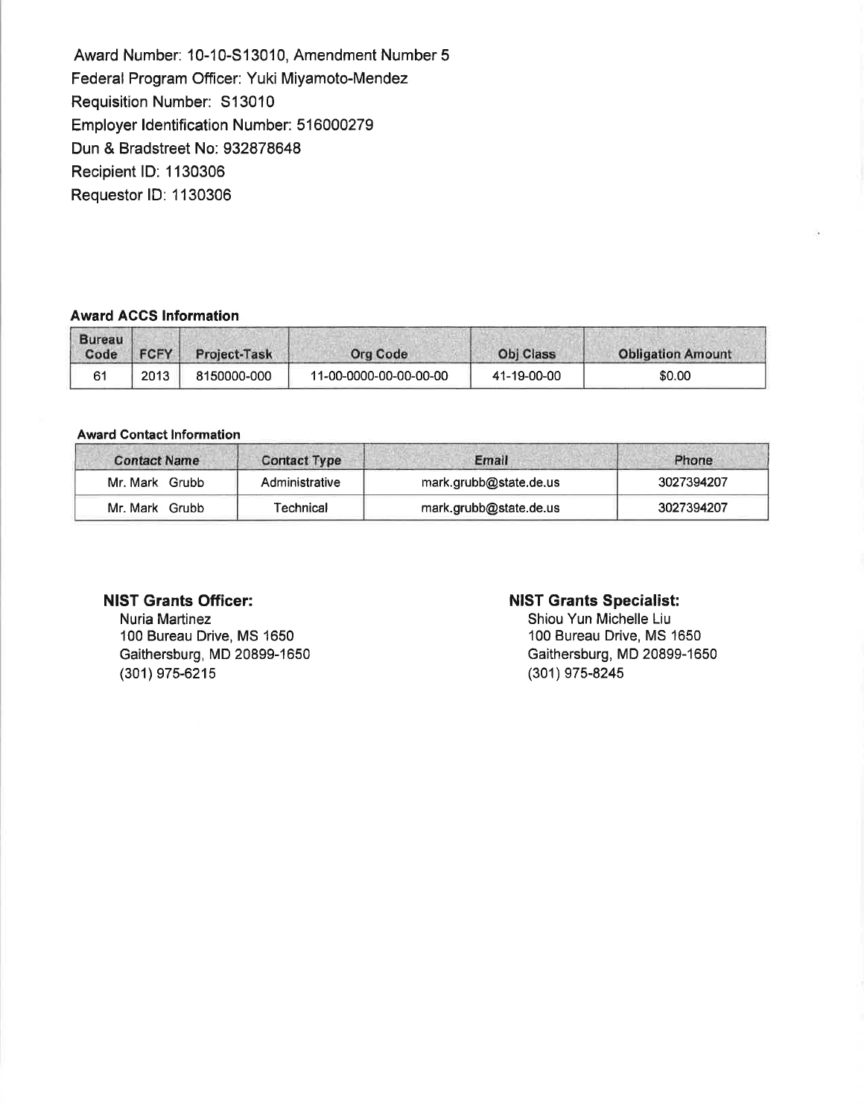Award Number: 10-10-S13010, Amendment Number 5 Federal Program Officer: Yuki Miyamoto-Mendez Requisition Number: S13010 Employer Identification Number: 516000279 Dun & Bradstreet No: 932878648 Recipient ID: 1130306 Requester ID: 1130306

### **Award ACCS Information**

| <b>Bureau</b><br>Code | <b>FCFY</b> | Project-Task | <b>Org Code</b>        | <b>Obi Class</b> | <b>Obligation Amount</b> |
|-----------------------|-------------|--------------|------------------------|------------------|--------------------------|
| 61                    | 2013        | 8150000-000  | 11-00-0000-00-00-00-00 | 41-19-00-00      | \$0.00                   |

#### **Award Contact Information**

| <b>Contact Name</b> | <b>Contact Type</b> | Email                  | Phone      |
|---------------------|---------------------|------------------------|------------|
| Mr. Mark Grubb      | Administrative      | mark.grubb@state.de.us | 3027394207 |
| Mr. Mark Grubb      | Technical           | mark.grubb@state.de.us | 3027394207 |

### **NIST Grants Officer:**

Nuria Martinez 100 Bureau Drive, MS 1650 Gaithersburg, MD 20899-1650 (301) 975-6215

### **NIST Grants Specialist:**

Shiou Yun Michelle Liu 100 Bureau Drive, MS 1650 Gaithersburg, MD 20899-1650 (301) 975-8245